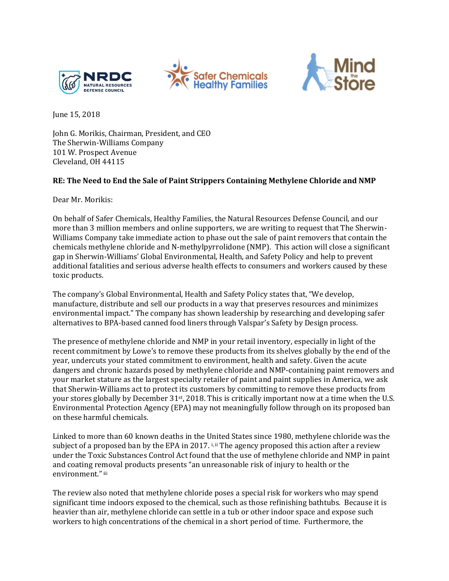





June 15, 2018

John G. Morikis, Chairman, President, and CEO The Sherwin-Williams Company 101 W. Prospect Avenue Cleveland, OH 44115

## **RE: The Need to End the Sale of Paint Strippers Containing Methylene Chloride and NMP**

Dear Mr. Morikis:

On behalf of Safer Chemicals, Healthy Families, the Natural Resources Defense Council, and our more than 3 million members and online supporters, we are writing to request that The Sherwin-Williams Company take immediate action to phase out the sale of paint removers that contain the chemicals methylene chloride and N-methylpyrrolidone (NMP). This action will close a significant gap in Sherwin-Williams' Global Environmental, Health, and Safety Policy and help to prevent additional fatalities and serious adverse health effects to consumers and workers caused by these toxic products.

The company's Global Environmental, Health and Safety Policy states that, "We develop, manufacture, distribute and sell our products in a way that preserves resources and minimizes environmental impact." The company has shown leadership by researching and developing safer alternatives to BPA-based canned food liners through Valspar's Safety by Design process.

The presence of methylene chloride and NMP in your retail inventory, especially in light of the recent commitment by Lowe's to remove these products from its shelves globally by the end of the year, undercuts your stated commitment to environment, health and safety. Given the acute dangers and chronic hazards posed by methylene chloride and NMP-containing paint removers and your market stature as the largest specialty retailer of paint and paint supplies in America, we ask that Sherwin-Williams act to protect its customers by committing to remove these products from your stores globally by December 31st, 2018. This is critically important now at a time when the U.S. Environmental Protection Agency (EPA) may not meaningfully follow through on its proposed ban on these harmful chemicals.

Linked to more than 60 known deaths in the United States since 1980, methylene chloride was the subject of a proposed ban by the EPA in 2017.  $\frac{1}{2}$  ii The agency proposed this action after a review under the Toxic Substances Control Act found that the use of methylene chloride and NMP in paint and coating removal products presents "an unreasonable risk of injury to health or the environment." iii

The review also noted that methylene chloride poses a special risk for workers who may spend significant time indoors exposed to the chemical, such as those refinishing bathtubs. Because it is heavier than air, methylene chloride can settle in a tub or other indoor space and expose such workers to high concentrations of the chemical in a short period of time. Furthermore, the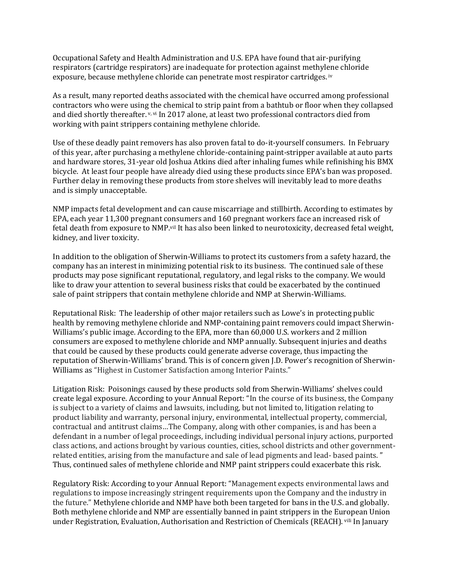Occupational Safety and Health Administration and U.S. EPA have found that air-purifying respirators (cartridge respirators) are inadequate for protection against methylene chloride exposure, because methylene chloride can penetrate most respirator cartridges. iv

As a result, many reported deaths associated with the chemical have occurred among professional contractors who were using the chemical to strip paint from a bathtub or floor when they collapsed and died shortly thereafter.  $v$ ,  $v$  In 2017 alone, at least two professional contractors died from working with paint strippers containing methylene chloride.

Use of these deadly paint removers has also proven fatal to do-it-yourself consumers. In February of this year, after purchasing a methylene chloride-containing paint-stripper available at auto parts and hardware stores, 31-year old Joshua Atkins died after inhaling fumes while refinishing his BMX bicycle. At least four people have already died using these products since EPA's ban was proposed. Further delay in removing these products from store shelves will inevitably lead to more deaths and is simply unacceptable.

NMP impacts fetal development and can cause miscarriage and stillbirth. According to estimates by EPA, each year 11,300 pregnant consumers and 160 pregnant workers face an increased risk of fetal death from exposure to NMP.viI It has also been linked to neurotoxicity, decreased fetal weight, kidney, and liver toxicity.

In addition to the obligation of Sherwin-Williams to protect its customers from a safety hazard, the company has an interest in minimizing potential risk to its business. The continued sale of these products may pose significant reputational, regulatory, and legal risks to the company. We would like to draw your attention to several business risks that could be exacerbated by the continued sale of paint strippers that contain methylene chloride and NMP at Sherwin-Williams.

Reputational Risk: The leadership of other major retailers such as Lowe's in protecting public health by removing methylene chloride and NMP-containing paint removers could impact Sherwin-Williams's public image. According to the EPA, more than 60,000 U.S. workers and 2 million consumers are exposed to methylene chloride and NMP annually. Subsequent injuries and deaths that could be caused by these products could generate adverse coverage, thus impacting the reputation of Sherwin-Williams' brand. This is of concern given J.D. Power's recognition of Sherwin-Williams as "Highest in Customer Satisfaction among Interior Paints."

Litigation Risk: Poisonings caused by these products sold from Sherwin-Williams' shelves could create legal exposure. According to your Annual Report: "In the course of its business, the Company is subject to a variety of claims and lawsuits, including, but not limited to, litigation relating to product liability and warranty, personal injury, environmental, intellectual property, commercial, contractual and antitrust claims…The Company, along with other companies, is and has been a defendant in a number of legal proceedings, including individual personal injury actions, purported class actions, and actions brought by various counties, cities, school districts and other governmentrelated entities, arising from the manufacture and sale of lead pigments and lead- based paints. " Thus, continued sales of methylene chloride and NMP paint strippers could exacerbate this risk.

Regulatory Risk: According to your Annual Report: "Management expects environmental laws and regulations to impose increasingly stringent requirements upon the Company and the industry in the future." Methylene chloride and NMP have both been targeted for bans in the U.S. and globally. Both methylene chloride and NMP are essentially banned in paint strippers in the European Union under Registration, Evaluation, Authorisation and Restriction of Chemicals (REACH). vili In January